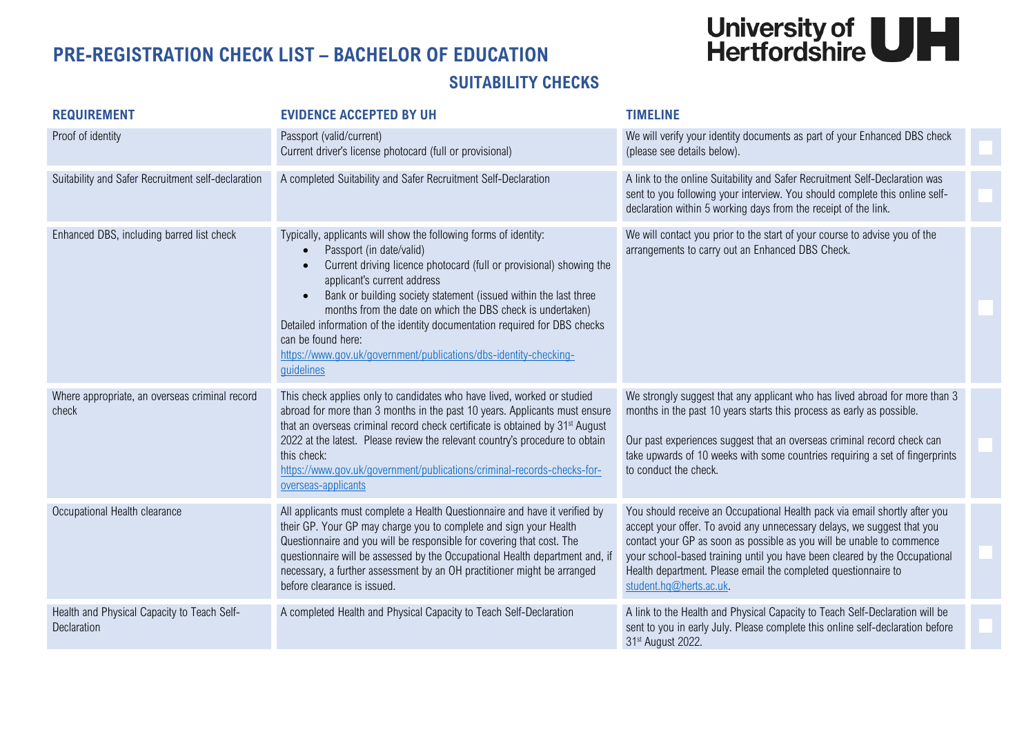## University of<br>Hertfordshire

## **PRE-REGISTRATION CHECK LIST – BACHELOR OF EDUCATION SUITABILITY CHECKS**

| <b>REQUIREMENT</b>                                         | <b>EVIDENCE ACCEPTED BY UH</b>                                                                                                                                                                                                                                                                                                                                                                                                                                                                                              | <b>TIMELINE</b>                                                                                                                                                                                                                                                                                                                                                                                           |  |
|------------------------------------------------------------|-----------------------------------------------------------------------------------------------------------------------------------------------------------------------------------------------------------------------------------------------------------------------------------------------------------------------------------------------------------------------------------------------------------------------------------------------------------------------------------------------------------------------------|-----------------------------------------------------------------------------------------------------------------------------------------------------------------------------------------------------------------------------------------------------------------------------------------------------------------------------------------------------------------------------------------------------------|--|
| Proof of identity                                          | Passport (valid/current)<br>Current driver's license photocard (full or provisional)                                                                                                                                                                                                                                                                                                                                                                                                                                        | We will verify your identity documents as part of your Enhanced DBS check<br>(please see details below).                                                                                                                                                                                                                                                                                                  |  |
| Suitability and Safer Recruitment self-declaration         | A completed Suitability and Safer Recruitment Self-Declaration                                                                                                                                                                                                                                                                                                                                                                                                                                                              | A link to the online Suitability and Safer Recruitment Self-Declaration was<br>sent to you following your interview. You should complete this online self-<br>declaration within 5 working days from the receipt of the link.                                                                                                                                                                             |  |
| Enhanced DBS, including barred list check                  | Typically, applicants will show the following forms of identity:<br>Passport (in date/valid)<br>Current driving licence photocard (full or provisional) showing the<br>applicant's current address<br>Bank or building society statement (issued within the last three<br>months from the date on which the DBS check is undertaken)<br>Detailed information of the identity documentation required for DBS checks<br>can be found here:<br>https://www.gov.uk/government/publications/dbs-identity-checking-<br>guidelines | We will contact you prior to the start of your course to advise you of the<br>arrangements to carry out an Enhanced DBS Check.                                                                                                                                                                                                                                                                            |  |
| Where appropriate, an overseas criminal record<br>check    | This check applies only to candidates who have lived, worked or studied<br>abroad for more than 3 months in the past 10 years. Applicants must ensure<br>that an overseas criminal record check certificate is obtained by 31 <sup>st</sup> August<br>2022 at the latest. Please review the relevant country's procedure to obtain<br>this check:<br>https://www.qov.uk/qovernment/publications/criminal-records-checks-for-<br>overseas-applicants                                                                         | We strongly suggest that any applicant who has lived abroad for more than 3<br>months in the past 10 years starts this process as early as possible.<br>Our past experiences suggest that an overseas criminal record check can<br>take upwards of 10 weeks with some countries requiring a set of fingerprints<br>to conduct the check.                                                                  |  |
| Occupational Health clearance                              | All applicants must complete a Health Questionnaire and have it verified by<br>their GP. Your GP may charge you to complete and sign your Health<br>Questionnaire and you will be responsible for covering that cost. The<br>questionnaire will be assessed by the Occupational Health department and, if<br>necessary, a further assessment by an OH practitioner might be arranged<br>before clearance is issued.                                                                                                         | You should receive an Occupational Health pack via email shortly after you<br>accept your offer. To avoid any unnecessary delays, we suggest that you<br>contact your GP as soon as possible as you will be unable to commence<br>your school-based training until you have been cleared by the Occupational<br>Health department. Please email the completed questionnaire to<br>student.hq@herts.ac.uk. |  |
| Health and Physical Capacity to Teach Self-<br>Declaration | A completed Health and Physical Capacity to Teach Self-Declaration                                                                                                                                                                                                                                                                                                                                                                                                                                                          | A link to the Health and Physical Capacity to Teach Self-Declaration will be<br>sent to you in early July. Please complete this online self-declaration before<br>31 <sup>st</sup> August 2022.                                                                                                                                                                                                           |  |